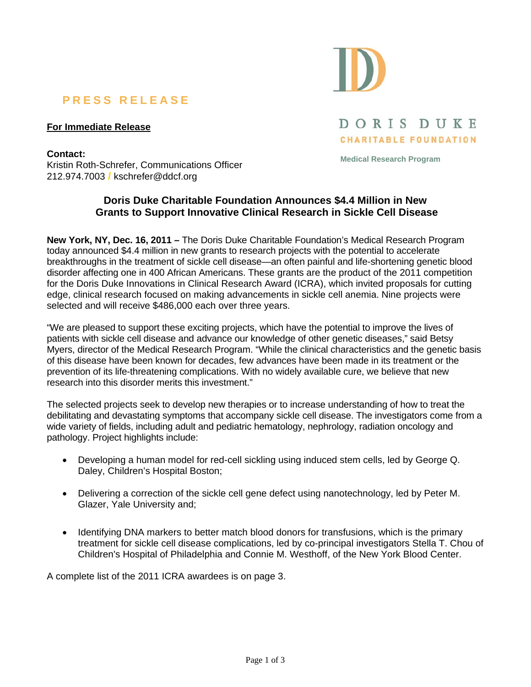# **PRESS RELEASE**

## **For Immediate Release**



**Medical Research Program** 

**Contact:** Kristin Roth-Schrefer, Communications Officer 212.974.7003 **/** kschrefer@ddcf.org

## **Doris Duke Charitable Foundation Announces \$4.4 Million in New Grants to Support Innovative Clinical Research in Sickle Cell Disease**

**New York, NY, Dec. 16, 2011 –** The Doris Duke Charitable Foundation's Medical Research Program today announced \$4.4 million in new grants to research projects with the potential to accelerate breakthroughs in the treatment of sickle cell disease—an often painful and life-shortening genetic blood disorder affecting one in 400 African Americans. These grants are the product of the 2011 competition for the Doris Duke Innovations in Clinical Research Award (ICRA), which invited proposals for cutting edge, clinical research focused on making advancements in sickle cell anemia. Nine projects were selected and will receive \$486,000 each over three years.

"We are pleased to support these exciting projects, which have the potential to improve the lives of patients with sickle cell disease and advance our knowledge of other genetic diseases," said Betsy Myers, director of the Medical Research Program. "While the clinical characteristics and the genetic basis of this disease have been known for decades, few advances have been made in its treatment or the prevention of its life-threatening complications. With no widely available cure, we believe that new research into this disorder merits this investment."

The selected projects seek to develop new therapies or to increase understanding of how to treat the debilitating and devastating symptoms that accompany sickle cell disease. The investigators come from a wide variety of fields, including adult and pediatric hematology, nephrology, radiation oncology and pathology. Project highlights include:

- Developing a human model for red-cell sickling using induced stem cells, led by George Q. Daley, Children's Hospital Boston;
- Delivering a correction of the sickle cell gene defect using nanotechnology, led by Peter M. Glazer, Yale University and;
- Identifying DNA markers to better match blood donors for transfusions, which is the primary treatment for sickle cell disease complications, led by co-principal investigators Stella T. Chou of Children's Hospital of Philadelphia and Connie M. Westhoff, of the New York Blood Center.

A complete list of the 2011 ICRA awardees is on page 3.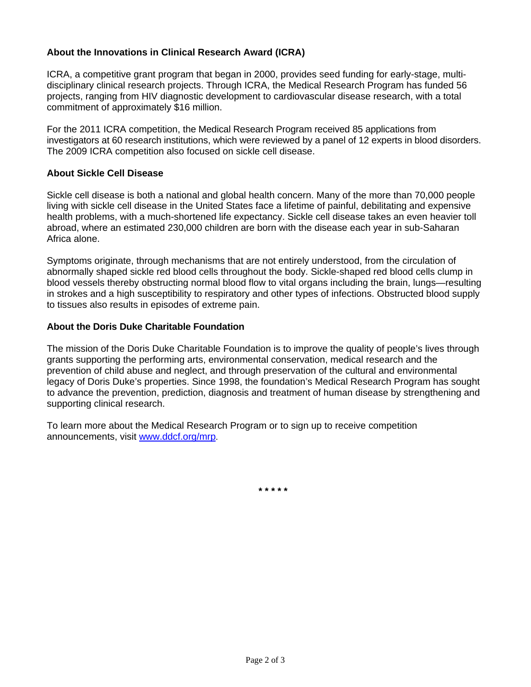## **About the Innovations in Clinical Research Award (ICRA)**

ICRA, a competitive grant program that began in 2000, provides seed funding for early-stage, multidisciplinary clinical research projects. Through ICRA, the Medical Research Program has funded 56 projects, ranging from HIV diagnostic development to cardiovascular disease research, with a total commitment of approximately \$16 million.

For the 2011 ICRA competition, the Medical Research Program received 85 applications from investigators at 60 research institutions, which were reviewed by a panel of 12 experts in blood disorders. The 2009 ICRA competition also focused on sickle cell disease.

## **About Sickle Cell Disease**

Sickle cell disease is both a national and global health concern. Many of the more than 70,000 people living with sickle cell disease in the United States face a lifetime of painful, debilitating and expensive health problems, with a much-shortened life expectancy. Sickle cell disease takes an even heavier toll abroad, where an estimated 230,000 children are born with the disease each year in sub-Saharan Africa alone.

Symptoms originate, through mechanisms that are not entirely understood, from the circulation of abnormally shaped sickle red blood cells throughout the body. Sickle-shaped red blood cells clump in blood vessels thereby obstructing normal blood flow to vital organs including the brain, lungs—resulting in strokes and a high susceptibility to respiratory and other types of infections. Obstructed blood supply to tissues also results in episodes of extreme pain.

## **About the Doris Duke Charitable Foundation**

The mission of the Doris Duke Charitable Foundation is to improve the quality of people's lives through grants supporting the performing arts, environmental conservation, medical research and the prevention of child abuse and neglect, and through preservation of the cultural and environmental legacy of Doris Duke's properties. Since 1998, the foundation's Medical Research Program has sought to advance the prevention, prediction, diagnosis and treatment of human disease by strengthening and supporting clinical research.

To learn more about the Medical Research Program or to sign up to receive competition announcements, visit www.ddcf.org/mrp.

**\* \* \* \* \***